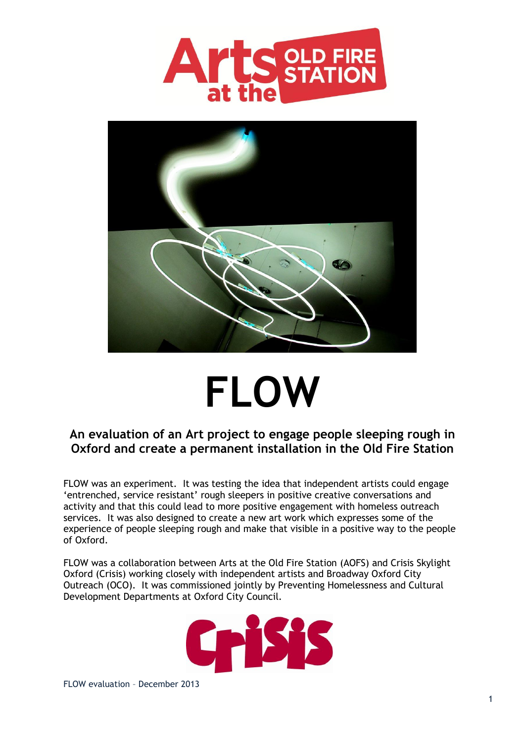



# **FLOW**

## **An evaluation of an Art project to engage people sleeping rough in Oxford and create a permanent installation in the Old Fire Station**

FLOW was an experiment. It was testing the idea that independent artists could engage 'entrenched, service resistant' rough sleepers in positive creative conversations and activity and that this could lead to more positive engagement with homeless outreach services. It was also designed to create a new art work which expresses some of the experience of people sleeping rough and make that visible in a positive way to the people of Oxford.

FLOW was a collaboration between Arts at the Old Fire Station (AOFS) and Crisis Skylight Oxford (Crisis) working closely with independent artists and Broadway Oxford City Outreach (OCO). It was commissioned jointly by Preventing Homelessness and Cultural Development Departments at Oxford City Council.

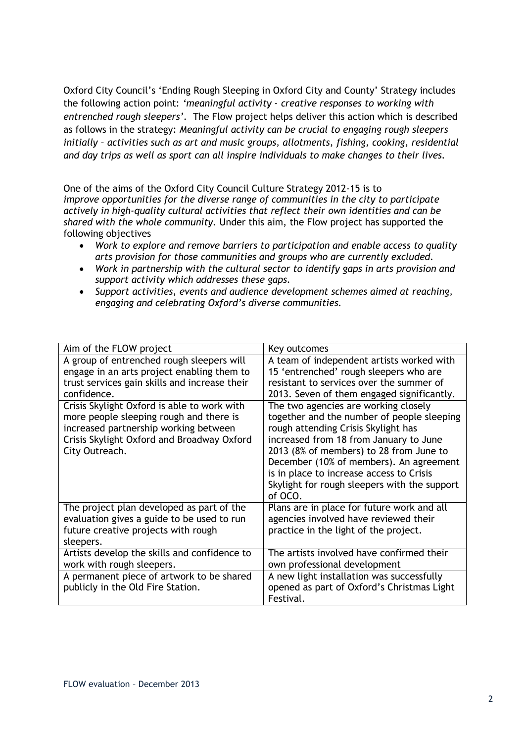Oxford City Council's 'Ending Rough Sleeping in Oxford City and County' Strategy includes the following action point: *'meaningful activity - creative responses to working with entrenched rough sleepers'*. The Flow project helps deliver this action which is described as follows in the strategy: *Meaningful activity can be crucial to engaging rough sleepers initially – activities such as art and music groups, allotments, fishing, cooking, residential and day trips as well as sport can all inspire individuals to make changes to their lives.*

One of the aims of the Oxford City Council Culture Strategy 2012-15 is to *improve opportunities for the diverse range of communities in the city to participate actively in high-quality cultural activities that reflect their own identities and can be shared with the whole community.* Under this aim, the Flow project has supported the following objectives

- *Work to explore and remove barriers to participation and enable access to quality arts provision for those communities and groups who are currently excluded.*
- *Work in partnership with the cultural sector to identify gaps in arts provision and support activity which addresses these gaps.*
- *Support activities, events and audience development schemes aimed at reaching, engaging and celebrating Oxford's diverse communities.*

| Aim of the FLOW project                                                                                                                                                                         | Key outcomes                                                                                                                                                                                                                                                                                                                                                     |
|-------------------------------------------------------------------------------------------------------------------------------------------------------------------------------------------------|------------------------------------------------------------------------------------------------------------------------------------------------------------------------------------------------------------------------------------------------------------------------------------------------------------------------------------------------------------------|
| A group of entrenched rough sleepers will                                                                                                                                                       | A team of independent artists worked with                                                                                                                                                                                                                                                                                                                        |
| engage in an arts project enabling them to                                                                                                                                                      | 15 'entrenched' rough sleepers who are                                                                                                                                                                                                                                                                                                                           |
| trust services gain skills and increase their                                                                                                                                                   | resistant to services over the summer of                                                                                                                                                                                                                                                                                                                         |
| confidence.                                                                                                                                                                                     | 2013. Seven of them engaged significantly.                                                                                                                                                                                                                                                                                                                       |
| Crisis Skylight Oxford is able to work with<br>more people sleeping rough and there is<br>increased partnership working between<br>Crisis Skylight Oxford and Broadway Oxford<br>City Outreach. | The two agencies are working closely<br>together and the number of people sleeping<br>rough attending Crisis Skylight has<br>increased from 18 from January to June<br>2013 (8% of members) to 28 from June to<br>December (10% of members). An agreement<br>is in place to increase access to Crisis<br>Skylight for rough sleepers with the support<br>of OCO. |
| The project plan developed as part of the                                                                                                                                                       | Plans are in place for future work and all                                                                                                                                                                                                                                                                                                                       |
| evaluation gives a guide to be used to run                                                                                                                                                      | agencies involved have reviewed their                                                                                                                                                                                                                                                                                                                            |
| future creative projects with rough                                                                                                                                                             | practice in the light of the project.                                                                                                                                                                                                                                                                                                                            |
| sleepers.                                                                                                                                                                                       |                                                                                                                                                                                                                                                                                                                                                                  |
| Artists develop the skills and confidence to                                                                                                                                                    | The artists involved have confirmed their                                                                                                                                                                                                                                                                                                                        |
| work with rough sleepers.                                                                                                                                                                       | own professional development                                                                                                                                                                                                                                                                                                                                     |
| A permanent piece of artwork to be shared                                                                                                                                                       | A new light installation was successfully                                                                                                                                                                                                                                                                                                                        |
| publicly in the Old Fire Station.                                                                                                                                                               | opened as part of Oxford's Christmas Light                                                                                                                                                                                                                                                                                                                       |
|                                                                                                                                                                                                 | Festival.                                                                                                                                                                                                                                                                                                                                                        |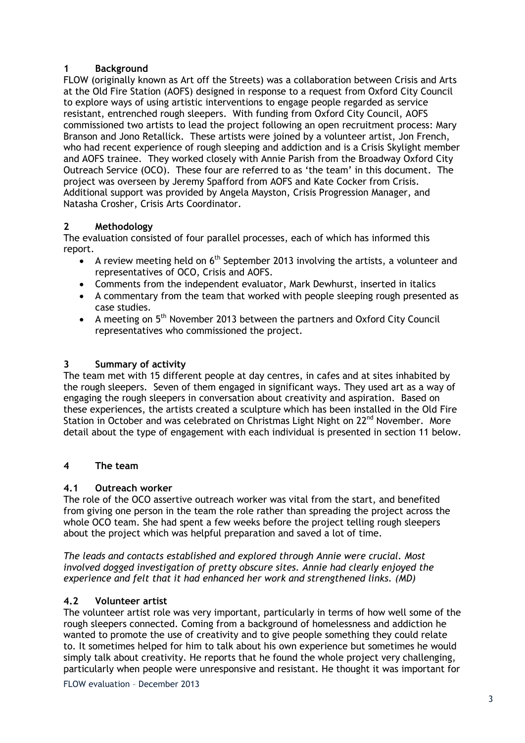## **1 Background**

FLOW (originally known as Art off the Streets) was a collaboration between Crisis and Arts at the Old Fire Station (AOFS) designed in response to a request from Oxford City Council to explore ways of using artistic interventions to engage people regarded as service resistant, entrenched rough sleepers. With funding from Oxford City Council, AOFS commissioned two artists to lead the project following an open recruitment process: Mary Branson and Jono Retallick. These artists were joined by a volunteer artist, Jon French, who had recent experience of rough sleeping and addiction and is a Crisis Skylight member and AOFS trainee. They worked closely with Annie Parish from the Broadway Oxford City Outreach Service (OCO). These four are referred to as 'the team' in this document. The project was overseen by Jeremy Spafford from AOFS and Kate Cocker from Crisis. Additional support was provided by Angela Mayston, Crisis Progression Manager, and Natasha Crosher, Crisis Arts Coordinator.

## **2 Methodology**

The evaluation consisted of four parallel processes, each of which has informed this report.

- A review meeting held on  $6<sup>th</sup>$  September 2013 involving the artists, a volunteer and representatives of OCO, Crisis and AOFS.
- Comments from the independent evaluator, Mark Dewhurst, inserted in italics
- A commentary from the team that worked with people sleeping rough presented as case studies.
- A meeting on  $5<sup>th</sup>$  November 2013 between the partners and Oxford City Council representatives who commissioned the project.

## **3 Summary of activity**

The team met with 15 different people at day centres, in cafes and at sites inhabited by the rough sleepers. Seven of them engaged in significant ways. They used art as a way of engaging the rough sleepers in conversation about creativity and aspiration. Based on these experiences, the artists created a sculpture which has been installed in the Old Fire Station in October and was celebrated on Christmas Light Night on 22<sup>nd</sup> November. More detail about the type of engagement with each individual is presented in section 11 below.

## **4 The team**

## **4.1 Outreach worker**

The role of the OCO assertive outreach worker was vital from the start, and benefited from giving one person in the team the role rather than spreading the project across the whole OCO team. She had spent a few weeks before the project telling rough sleepers about the project which was helpful preparation and saved a lot of time.

*The leads and contacts established and explored through Annie were crucial. Most involved dogged investigation of pretty obscure sites. Annie had clearly enjoyed the experience and felt that it had enhanced her work and strengthened links. (MD)*

## **4.2 Volunteer artist**

The volunteer artist role was very important, particularly in terms of how well some of the rough sleepers connected. Coming from a background of homelessness and addiction he wanted to promote the use of creativity and to give people something they could relate to. It sometimes helped for him to talk about his own experience but sometimes he would simply talk about creativity. He reports that he found the whole project very challenging, particularly when people were unresponsive and resistant. He thought it was important for

FLOW evaluation – December 2013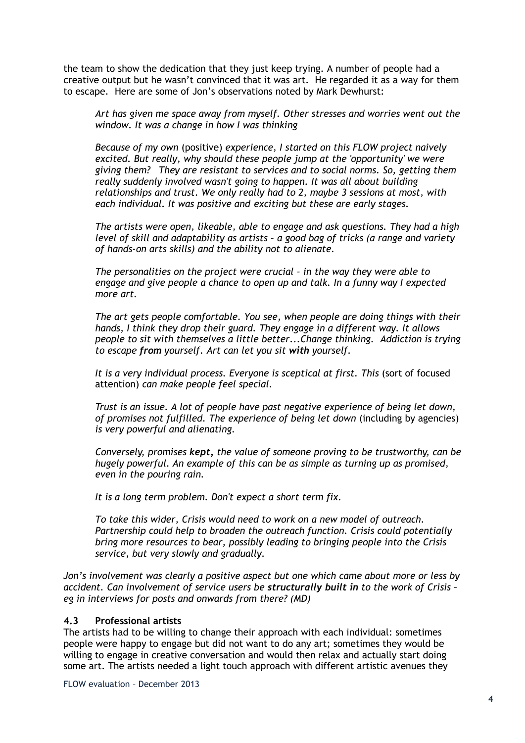the team to show the dedication that they just keep trying. A number of people had a creative output but he wasn't convinced that it was art. He regarded it as a way for them to escape. Here are some of Jon's observations noted by Mark Dewhurst:

*Art has given me space away from myself. Other stresses and worries went out the window. It was a change in how I was thinking*

*Because of my own* (positive) *experience, I started on this FLOW project naively excited. But really, why should these people jump at the 'opportunity' we were giving them? They are resistant to services and to social norms. So, getting them really suddenly involved wasn't going to happen. It was all about building relationships and trust. We only really had to 2, maybe 3 sessions at most, with each individual. It was positive and exciting but these are early stages.*

*The artists were open, likeable, able to engage and ask questions. They had a high level of skill and adaptability as artists – a good bag of tricks (a range and variety of hands-on arts skills) and the ability not to alienate.*

*The personalities on the project were crucial – in the way they were able to engage and give people a chance to open up and talk. In a funny way I expected more art.*

*The art gets people comfortable. You see, when people are doing things with their hands, I think they drop their guard. They engage in a different way. It allows people to sit with themselves a little better...Change thinking. Addiction is trying to escape from yourself. Art can let you sit with yourself.*

It is a very individual process. Everyone is sceptical at first. This (sort of focused attention) *can make people feel special.*

*Trust is an issue. A lot of people have past negative experience of being let down, of promises not fulfilled. The experience of being let down* (including by agencies) *is very powerful and alienating.*

*Conversely, promises kept, the value of someone proving to be trustworthy, can be hugely powerful. An example of this can be as simple as turning up as promised, even in the pouring rain.*

*It is a long term problem. Don't expect a short term fix.*

*To take this wider, Crisis would need to work on a new model of outreach. Partnership could help to broaden the outreach function. Crisis could potentially bring more resources to bear, possibly leading to bringing people into the Crisis service, but very slowly and gradually.*

*Jon's involvement was clearly a positive aspect but one which came about more or less by accident. Can involvement of service users be structurally built in to the work of Crisis – eg in interviews for posts and onwards from there? (MD)*

#### **4.3 Professional artists**

The artists had to be willing to change their approach with each individual: sometimes people were happy to engage but did not want to do any art; sometimes they would be willing to engage in creative conversation and would then relax and actually start doing some art. The artists needed a light touch approach with different artistic avenues they

FLOW evaluation – December 2013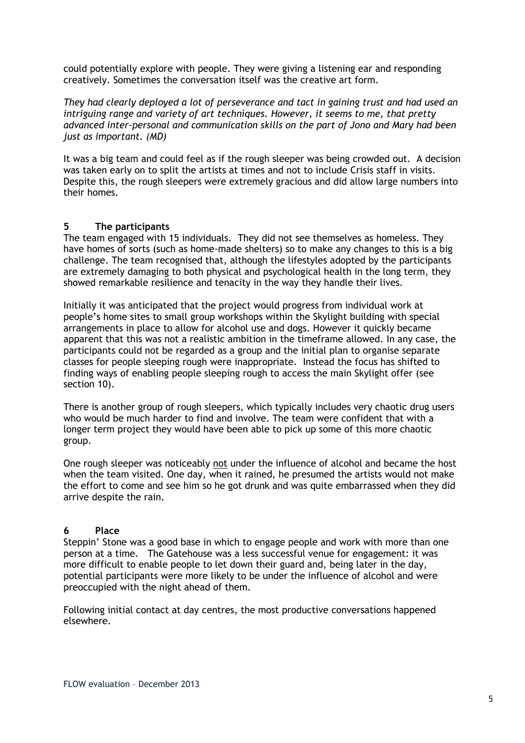could potentially explore with people. They were giving a listening ear and responding creatively. Sometimes the conversation itself was the creative art form.

*They had clearly deployed a lot of perseverance and tact in gaining trust and had used an intriguing range and variety of art techniques. However, it seems to me, that pretty advanced inter-personal and communication skills on the part of Jono and Mary had been just as important. (MD)*

It was a big team and could feel as if the rough sleeper was being crowded out. A decision was taken early on to split the artists at times and not to include Crisis staff in visits. Despite this, the rough sleepers were extremely gracious and did allow large numbers into their homes.

#### **5 The participants**

The team engaged with 15 individuals. They did not see themselves as homeless. They have homes of sorts (such as home-made shelters) so to make any changes to this is a big challenge. The team recognised that, although the lifestyles adopted by the participants are extremely damaging to both physical and psychological health in the long term, they showed remarkable resilience and tenacity in the way they handle their lives.

Initially it was anticipated that the project would progress from individual work at people's home sites to small group workshops within the Skylight building with special arrangements in place to allow for alcohol use and dogs. However it quickly became apparent that this was not a realistic ambition in the timeframe allowed. In any case, the participants could not be regarded as a group and the initial plan to organise separate classes for people sleeping rough were inappropriate. Instead the focus has shifted to finding ways of enabling people sleeping rough to access the main Skylight offer (see section 10).

There is another group of rough sleepers, which typically includes very chaotic drug users who would be much harder to find and involve. The team were confident that with a longer term project they would have been able to pick up some of this more chaotic group.

One rough sleeper was noticeably not under the influence of alcohol and became the host when the team visited. One day, when it rained, he presumed the artists would not make the effort to come and see him so he got drunk and was quite embarrassed when they did arrive despite the rain.

#### **6 Place**

Steppin' Stone was a good base in which to engage people and work with more than one person at a time. The Gatehouse was a less successful venue for engagement: it was more difficult to enable people to let down their guard and, being later in the day, potential participants were more likely to be under the influence of alcohol and were preoccupied with the night ahead of them.

Following initial contact at day centres, the most productive conversations happened elsewhere.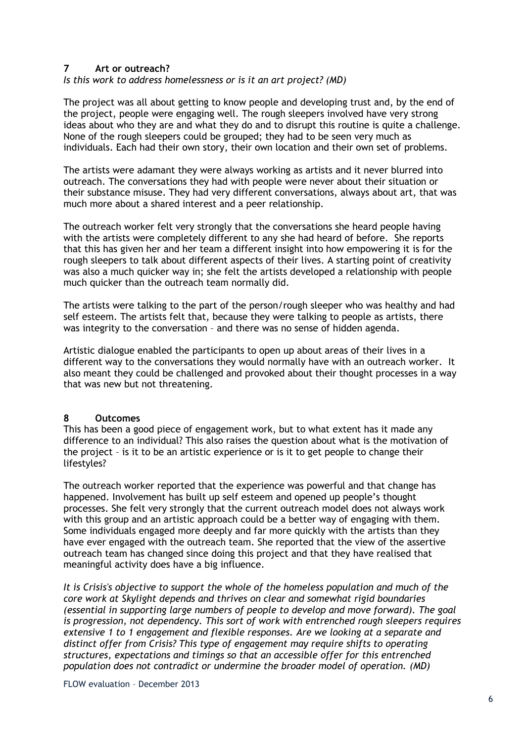#### **7 Art or outreach?**

*Is this work to address homelessness or is it an art project? (MD)*

The project was all about getting to know people and developing trust and, by the end of the project, people were engaging well. The rough sleepers involved have very strong ideas about who they are and what they do and to disrupt this routine is quite a challenge. None of the rough sleepers could be grouped; they had to be seen very much as individuals. Each had their own story, their own location and their own set of problems.

The artists were adamant they were always working as artists and it never blurred into outreach. The conversations they had with people were never about their situation or their substance misuse. They had very different conversations, always about art, that was much more about a shared interest and a peer relationship.

The outreach worker felt very strongly that the conversations she heard people having with the artists were completely different to any she had heard of before. She reports that this has given her and her team a different insight into how empowering it is for the rough sleepers to talk about different aspects of their lives. A starting point of creativity was also a much quicker way in; she felt the artists developed a relationship with people much quicker than the outreach team normally did.

The artists were talking to the part of the person/rough sleeper who was healthy and had self esteem. The artists felt that, because they were talking to people as artists, there was integrity to the conversation – and there was no sense of hidden agenda.

Artistic dialogue enabled the participants to open up about areas of their lives in a different way to the conversations they would normally have with an outreach worker. It also meant they could be challenged and provoked about their thought processes in a way that was new but not threatening.

#### **8 Outcomes**

This has been a good piece of engagement work, but to what extent has it made any difference to an individual? This also raises the question about what is the motivation of the project – is it to be an artistic experience or is it to get people to change their lifestyles?

The outreach worker reported that the experience was powerful and that change has happened. Involvement has built up self esteem and opened up people's thought processes. She felt very strongly that the current outreach model does not always work with this group and an artistic approach could be a better way of engaging with them. Some individuals engaged more deeply and far more quickly with the artists than they have ever engaged with the outreach team. She reported that the view of the assertive outreach team has changed since doing this project and that they have realised that meaningful activity does have a big influence.

*It is Crisis's objective to support the whole of the homeless population and much of the core work at Skylight depends and thrives on clear and somewhat rigid boundaries (essential in supporting large numbers of people to develop and move forward). The goal is progression, not dependency. This sort of work with entrenched rough sleepers requires extensive 1 to 1 engagement and flexible responses. Are we looking at a separate and distinct offer from Crisis? This type of engagement may require shifts to operating structures, expectations and timings so that an accessible offer for this entrenched population does not contradict or undermine the broader model of operation. (MD)*

FLOW evaluation – December 2013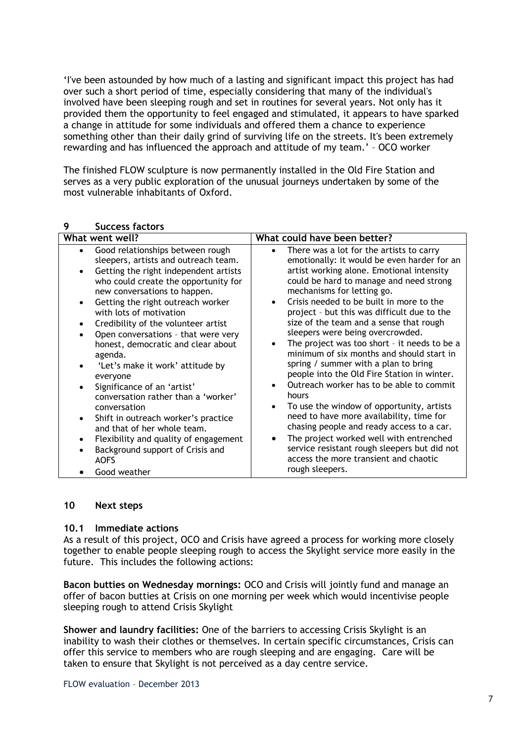'I've been astounded by how much of a lasting and significant impact this project has had over such a short period of time, especially considering that many of the individual's involved have been sleeping rough and set in routines for several years. Not only has it provided them the opportunity to feel engaged and stimulated, it appears to have sparked a change in attitude for some individuals and offered them a chance to experience something other than their daily grind of surviving life on the streets. It's been extremely rewarding and has influenced the approach and attitude of my team.' – OCO worker

The finished FLOW sculpture is now permanently installed in the Old Fire Station and serves as a very public exploration of the unusual journeys undertaken by some of the most vulnerable inhabitants of Oxford.

| What went well?                                                                                                                                                                                                                                                                                                                                                                                                                                                                                                                                          | What could have been better?                                                                                                                                                                                                                                                                                                                                                                                                                                                                                                                                                                                                                                                                            |
|----------------------------------------------------------------------------------------------------------------------------------------------------------------------------------------------------------------------------------------------------------------------------------------------------------------------------------------------------------------------------------------------------------------------------------------------------------------------------------------------------------------------------------------------------------|---------------------------------------------------------------------------------------------------------------------------------------------------------------------------------------------------------------------------------------------------------------------------------------------------------------------------------------------------------------------------------------------------------------------------------------------------------------------------------------------------------------------------------------------------------------------------------------------------------------------------------------------------------------------------------------------------------|
| Good relationships between rough<br>$\bullet$<br>sleepers, artists and outreach team.<br>Getting the right independent artists<br>who could create the opportunity for<br>new conversations to happen.<br>Getting the right outreach worker<br>$\bullet$<br>with lots of motivation<br>Credibility of the volunteer artist<br>Open conversations - that were very<br>honest, democratic and clear about<br>agenda.<br>'Let's make it work' attitude by<br>everyone<br>Significance of an 'artist'<br>conversation rather than a 'worker'<br>conversation | There was a lot for the artists to carry<br>$\bullet$<br>emotionally: it would be even harder for an<br>artist working alone. Emotional intensity<br>could be hard to manage and need strong<br>mechanisms for letting go.<br>Crisis needed to be built in more to the<br>project - but this was difficult due to the<br>size of the team and a sense that rough<br>sleepers were being overcrowded.<br>The project was too short - it needs to be a<br>minimum of six months and should start in<br>spring / summer with a plan to bring<br>people into the Old Fire Station in winter.<br>Outreach worker has to be able to commit<br>hours<br>To use the window of opportunity, artists<br>$\bullet$ |
| Shift in outreach worker's practice<br>$\bullet$<br>and that of her whole team.                                                                                                                                                                                                                                                                                                                                                                                                                                                                          | need to have more availability, time for<br>chasing people and ready access to a car.                                                                                                                                                                                                                                                                                                                                                                                                                                                                                                                                                                                                                   |
| Flexibility and quality of engagement<br>$\bullet$                                                                                                                                                                                                                                                                                                                                                                                                                                                                                                       | The project worked well with entrenched                                                                                                                                                                                                                                                                                                                                                                                                                                                                                                                                                                                                                                                                 |
| Background support of Crisis and<br><b>AOFS</b>                                                                                                                                                                                                                                                                                                                                                                                                                                                                                                          | service resistant rough sleepers but did not<br>access the more transient and chaotic<br>rough sleepers.                                                                                                                                                                                                                                                                                                                                                                                                                                                                                                                                                                                                |
| Good weather                                                                                                                                                                                                                                                                                                                                                                                                                                                                                                                                             |                                                                                                                                                                                                                                                                                                                                                                                                                                                                                                                                                                                                                                                                                                         |

### **9 Success factors**

#### **10 Next steps**

#### **10.1 Immediate actions**

As a result of this project, OCO and Crisis have agreed a process for working more closely together to enable people sleeping rough to access the Skylight service more easily in the future. This includes the following actions:

**Bacon butties on Wednesday mornings:** OCO and Crisis will jointly fund and manage an offer of bacon butties at Crisis on one morning per week which would incentivise people sleeping rough to attend Crisis Skylight

**Shower and laundry facilities:** One of the barriers to accessing Crisis Skylight is an inability to wash their clothes or themselves. In certain specific circumstances, Crisis can offer this service to members who are rough sleeping and are engaging. Care will be taken to ensure that Skylight is not perceived as a day centre service.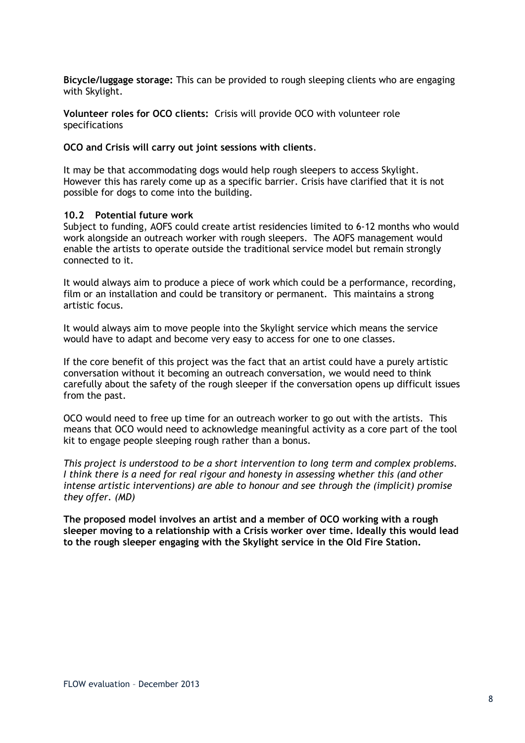**Bicycle/luggage storage:** This can be provided to rough sleeping clients who are engaging with Skylight.

**Volunteer roles for OCO clients:** Crisis will provide OCO with volunteer role specifications

#### **OCO and Crisis will carry out joint sessions with clients**.

It may be that accommodating dogs would help rough sleepers to access Skylight. However this has rarely come up as a specific barrier. Crisis have clarified that it is not possible for dogs to come into the building.

#### **10.2 Potential future work**

Subject to funding, AOFS could create artist residencies limited to 6-12 months who would work alongside an outreach worker with rough sleepers. The AOFS management would enable the artists to operate outside the traditional service model but remain strongly connected to it.

It would always aim to produce a piece of work which could be a performance, recording, film or an installation and could be transitory or permanent. This maintains a strong artistic focus.

It would always aim to move people into the Skylight service which means the service would have to adapt and become very easy to access for one to one classes.

If the core benefit of this project was the fact that an artist could have a purely artistic conversation without it becoming an outreach conversation, we would need to think carefully about the safety of the rough sleeper if the conversation opens up difficult issues from the past.

OCO would need to free up time for an outreach worker to go out with the artists. This means that OCO would need to acknowledge meaningful activity as a core part of the tool kit to engage people sleeping rough rather than a bonus.

*This project is understood to be a short intervention to long term and complex problems. I think there is a need for real rigour and honesty in assessing whether this (and other intense artistic interventions) are able to honour and see through the (implicit) promise they offer. (MD)*

**The proposed model involves an artist and a member of OCO working with a rough sleeper moving to a relationship with a Crisis worker over time. Ideally this would lead to the rough sleeper engaging with the Skylight service in the Old Fire Station.**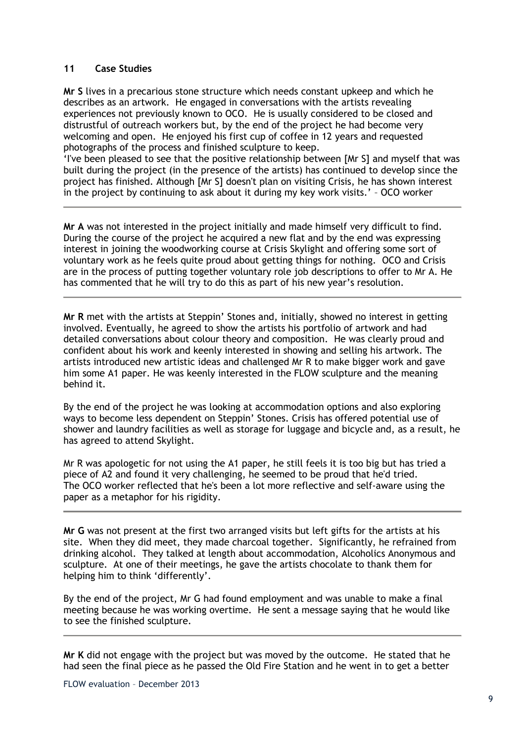#### **11 Case Studies**

**Mr S** lives in a precarious stone structure which needs constant upkeep and which he describes as an artwork. He engaged in conversations with the artists revealing experiences not previously known to OCO. He is usually considered to be closed and distrustful of outreach workers but, by the end of the project he had become very welcoming and open. He enjoyed his first cup of coffee in 12 years and requested photographs of the process and finished sculpture to keep.

'I've been pleased to see that the positive relationship between [Mr S] and myself that was built during the project (in the presence of the artists) has continued to develop since the project has finished. Although [Mr S] doesn't plan on visiting Crisis, he has shown interest in the project by continuing to ask about it during my key work visits.' – OCO worker

**Mr A** was not interested in the project initially and made himself very difficult to find. During the course of the project he acquired a new flat and by the end was expressing interest in joining the woodworking course at Crisis Skylight and offering some sort of voluntary work as he feels quite proud about getting things for nothing. OCO and Crisis are in the process of putting together voluntary role job descriptions to offer to Mr A. He has commented that he will try to do this as part of his new year's resolution.

**Mr R** met with the artists at Steppin' Stones and, initially, showed no interest in getting involved. Eventually, he agreed to show the artists his portfolio of artwork and had detailed conversations about colour theory and composition. He was clearly proud and confident about his work and keenly interested in showing and selling his artwork. The artists introduced new artistic ideas and challenged Mr R to make bigger work and gave him some A1 paper. He was keenly interested in the FLOW sculpture and the meaning behind it.

By the end of the project he was looking at accommodation options and also exploring ways to become less dependent on Steppin' Stones. Crisis has offered potential use of shower and laundry facilities as well as storage for luggage and bicycle and, as a result, he has agreed to attend Skylight.

Mr R was apologetic for not using the A1 paper, he still feels it is too big but has tried a piece of A2 and found it very challenging, he seemed to be proud that he'd tried. The OCO worker reflected that he's been a lot more reflective and self-aware using the paper as a metaphor for his rigidity.

**Mr G** was not present at the first two arranged visits but left gifts for the artists at his site. When they did meet, they made charcoal together. Significantly, he refrained from drinking alcohol. They talked at length about accommodation, Alcoholics Anonymous and sculpture. At one of their meetings, he gave the artists chocolate to thank them for helping him to think 'differently'.

By the end of the project, Mr G had found employment and was unable to make a final meeting because he was working overtime. He sent a message saying that he would like to see the finished sculpture.

**Mr K** did not engage with the project but was moved by the outcome. He stated that he had seen the final piece as he passed the Old Fire Station and he went in to get a better